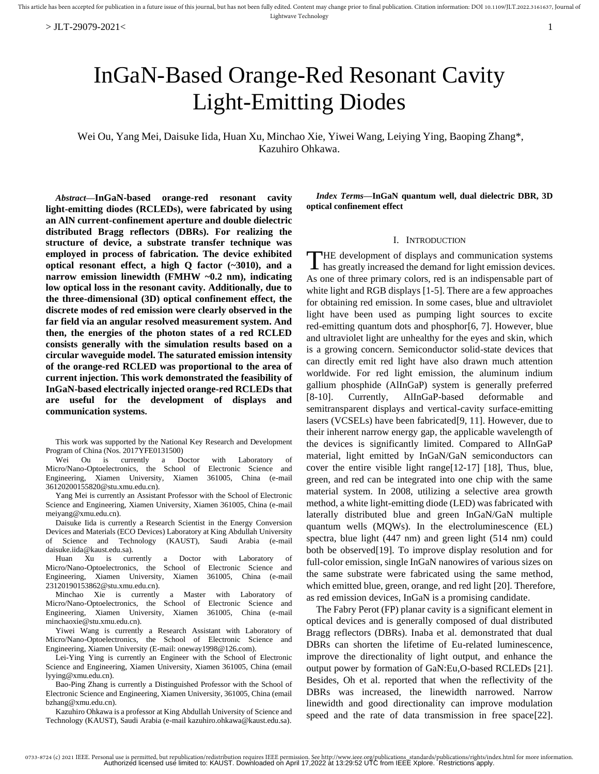# InGaN-Based Orange-Red Resonant Cavity Light-Emitting Diodes

Wei Ou, Yang Mei, Daisuke Iida, Huan Xu, Minchao Xie, Yiwei Wang, Leiying Ying, Baoping Zhang\*, Kazuhiro Ohkawa.

*Abstract***—InGaN-based orange-red resonant cavity light-emitting diodes (RCLEDs), were fabricated by using an AlN current-confinement aperture and double dielectric distributed Bragg reflectors (DBRs). For realizing the structure of device, a substrate transfer technique was employed in process of fabrication. The device exhibited optical resonant effect, a high Q factor (~3010), and a narrow emission linewidth (FMHW ~0.2 nm), indicating low optical loss in the resonant cavity. Additionally, due to the three-dimensional (3D) optical confinement effect, the discrete modes of red emission were clearly observed in the far field via an angular resolved measurement system. And then, the energies of the photon states of a red RCLED consists generally with the simulation results based on a circular waveguide model. The saturated emission intensity of the orange-red RCLED was proportional to the area of current injection. This work demonstrated the feasibility of InGaN-based electrically injected orange-red RCLEDs that are useful for the development of displays and communication systems.**

This work was supported by the National Key Research and Development Program of China (Nos. 2017YFE0131500)

Wei Ou is currently a Doctor with Laboratory of Micro/Nano-Optoelectronics, the School of Electronic Science and Engineering, Xiamen University, Xiamen 361005, China (e-mail 36120200155820@stu.xmu.edu.cn).

Yang Mei is currently an Assistant Professor with the School of Electronic Science and Engineering, Xiamen University, Xiamen 361005, China (e-mail meiyang@xmu.edu.cn).

Daisuke Iida is currently a Research Scientist in the Energy Conversion Devices and Materials (ECO Devices) Laboratory at King Abdullah University of Science and Technology (KAUST), Saudi Arabia (e-mail daisuke.iida@kaust.edu.sa).

Huan Xu is currently a Doctor with Laboratory of Micro/Nano-Optoelectronics, the School of Electronic Science and Engineering, Xiamen University, Xiamen 361005, China (e-mail 23120190153862@stu.xmu.edu.cn).

Minchao Xie is currently a Master with Laboratory of Micro/Nano-Optoelectronics, the School of Electronic Science and Engineering, Xiamen University, Xiamen 361005, China (e-mail minchaoxie@stu.xmu.edu.cn).

Yiwei Wang is currently a Research Assistant with Laboratory of Micro/Nano-Optoelectronics, the School of Electronic Science and Engineering, Xiamen University (E-mail: oneway1998@126.com).

Lei-Ying Ying is currently an Engineer with the School of Electronic Science and Engineering, Xiamen University, Xiamen 361005, China (email lyying@xmu.edu.cn).

Bao-Ping Zhang is currently a Distinguished Professor with the School of Electronic Science and Engineering, Xiamen University, 361005, China (email bzhang@xmu.edu.cn).

Kazuhiro Ohkawa is a professor at King Abdullah University of Science and Technology (KAUST), Saudi Arabia (e-mail kazuhiro.ohkawa@kaust.edu.sa).

*Index Terms***—InGaN quantum well, dual dielectric DBR, 3D optical confinement effect**

## I. INTRODUCTION

THE development of displays and communication systems has greatly increased the demand for light emission devices.  $\blacktriangle$  has greatly increased the demand for light emission devices. As one of three primary colors, red is an indispensable part of white light and RGB displays [1-5]. There are a few approaches for obtaining red emission. In some cases, blue and ultraviolet light have been used as pumping light sources to excite red-emitting quantum dots and phosphor[6, 7]. However, blue and ultraviolet light are unhealthy for the eyes and skin, which is a growing concern. Semiconductor solid-state devices that can directly emit red light have also drawn much attention worldwide. For red light emission, the aluminum indium gallium phosphide (AlInGaP) system is generally preferred [8-10]. Currently, AlInGaP-based deformable and semitransparent displays and vertical-cavity surface-emitting lasers (VCSELs) have been fabricated[9, 11]. However, due to their inherent narrow energy gap, the applicable wavelength of the devices is significantly limited. Compared to AlInGaP material, light emitted by InGaN/GaN semiconductors can cover the entire visible light range[12-17] [18], Thus, blue, green, and red can be integrated into one chip with the same material system. In 2008, utilizing a selective area growth method, a white light-emitting diode (LED) was fabricated with laterally distributed blue and green InGaN/GaN multiple quantum wells (MQWs). In the electroluminescence (EL) spectra, blue light (447 nm) and green light (514 nm) could both be observed[19]. To improve display resolution and for full-color emission, single InGaN nanowires of various sizes on the same substrate were fabricated using the same method, which emitted blue, green, orange, and red light [20]. Therefore, as red emission devices, InGaN is a promising candidate.

The Fabry Perot (FP) planar cavity is a significant element in optical devices and is generally composed of dual distributed Bragg reflectors (DBRs). Inaba et al. demonstrated that dual DBRs can shorten the lifetime of Eu-related luminescence, improve the directionality of light output, and enhance the output power by formation of GaN:Eu,O-based RCLEDs [21]. Besides, Oh et al. reported that when the reflectivity of the DBRs was increased, the linewidth narrowed. Narrow linewidth and good directionality can improve modulation speed and the rate of data transmission in free space[22].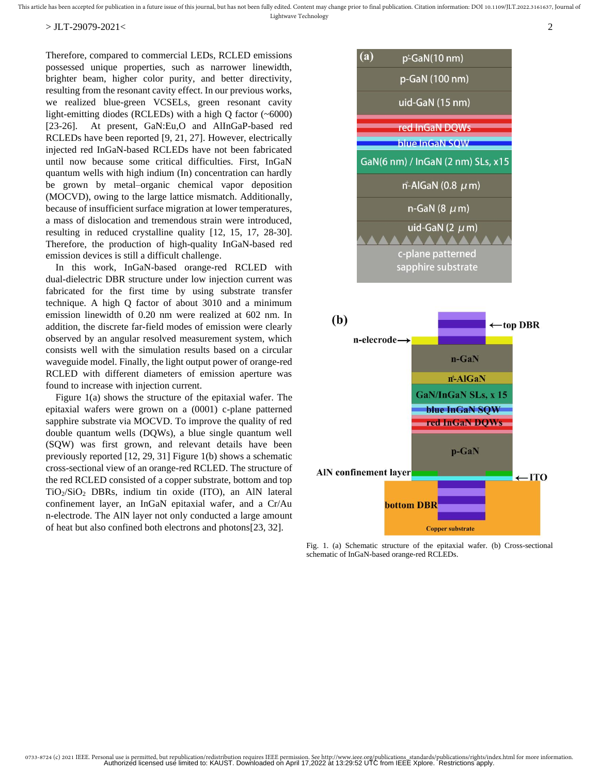This article has been accepted for publication in a future issue of this journal, but has not been fully edited. Content may change prior to final publication. Citation information: DOI 10.1109/JLT.2022.3161637, Journal of Lightwave Technology

#### $>$  JLT-29079-2021 $<$   $2$

Therefore, compared to commercial LEDs, RCLED emissions possessed unique properties, such as narrower linewidth, brighter beam, higher color purity, and better directivity, resulting from the resonant cavity effect. In our previous works, we realized blue-green VCSELs, green resonant cavity light-emitting diodes (RCLEDs) with a high Q factor (~6000) [23-26]. At present, GaN:Eu,O and AlInGaP-based red RCLEDs have been reported [9, 21, 27]. However, electrically injected red InGaN-based RCLEDs have not been fabricated until now because some critical difficulties. First, InGaN quantum wells with high indium (In) concentration can hardly be grown by metal–organic chemical vapor deposition (MOCVD), owing to the large lattice mismatch. Additionally, because of insufficient surface migration at lower temperatures, a mass of dislocation and tremendous strain were introduced, resulting in reduced crystalline quality [12, 15, 17, 28-30]. Therefore, the production of high-quality InGaN-based red emission devices is still a difficult challenge.

In this work, InGaN-based orange-red RCLED with dual-dielectric DBR structure under low injection current was fabricated for the first time by using substrate transfer technique. A high Q factor of about 3010 and a minimum emission linewidth of 0.20 nm were realized at 602 nm. In addition, the discrete far-field modes of emission were clearly observed by an angular resolved measurement system, which consists well with the simulation results based on a circular waveguide model. Finally, the light output power of orange-red RCLED with different diameters of emission aperture was found to increase with injection current.

Figure 1(a) shows the structure of the epitaxial wafer. The epitaxial wafers were grown on a (0001) c-plane patterned sapphire substrate via MOCVD. To improve the quality of red double quantum wells (DQWs), a blue single quantum well (SQW) was first grown, and relevant details have been previously reported [12, 29, 31] Figure 1(b) shows a schematic cross-sectional view of an orange-red RCLED. The structure of the red RCLED consisted of a copper substrate, bottom and top TiO2/SiO<sup>2</sup> DBRs, indium tin oxide (ITO), an AlN lateral confinement layer, an InGaN epitaxial wafer, and a Cr/Au n-electrode. The AlN layer not only conducted a large amount of heat but also confined both electrons and photons[23, 32].



Fig. 1. (a) Schematic structure of the epitaxial wafer. (b) Cross-sectional schematic of InGaN-based orange-red RCLEDs.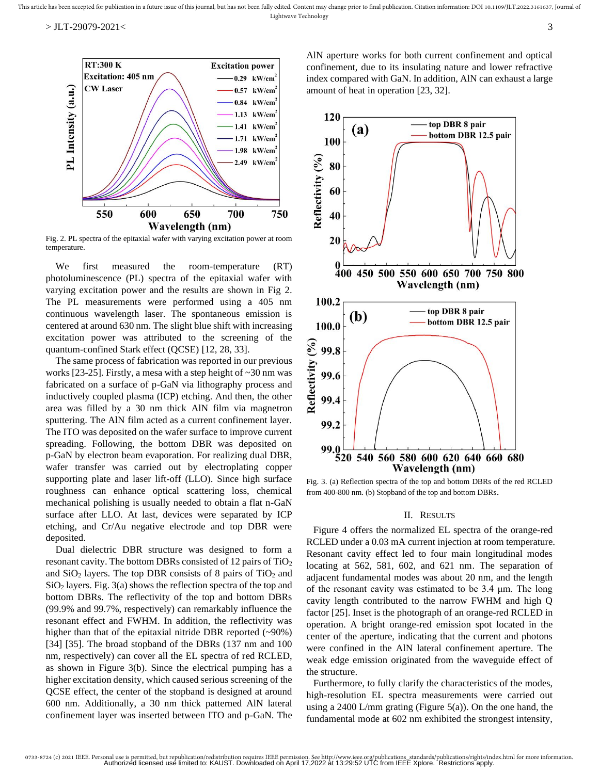

Fig. 2. PL spectra of the epitaxial wafer with varying excitation power at room temperature.

We first measured the room-temperature (RT) photoluminescence (PL) spectra of the epitaxial wafer with varying excitation power and the results are shown in Fig 2. The PL measurements were performed using a 405 nm continuous wavelength laser. The spontaneous emission is centered at around 630 nm. The slight blue shift with increasing excitation power was attributed to the screening of the quantum-confined Stark effect (QCSE) [12, 28, 33].

The same process of fabrication was reported in our previous works [23-25]. Firstly, a mesa with a step height of ~30 nm was fabricated on a surface of p-GaN via lithography process and inductively coupled plasma (ICP) etching. And then, the other area was filled by a 30 nm thick AlN film via magnetron sputtering. The AlN film acted as a current confinement layer. The ITO was deposited on the wafer surface to improve current spreading. Following, the bottom DBR was deposited on p-GaN by electron beam evaporation. For realizing dual DBR, wafer transfer was carried out by electroplating copper supporting plate and laser lift-off (LLO). Since high surface roughness can enhance optical scattering loss, chemical mechanical polishing is usually needed to obtain a flat n-GaN surface after LLO. At last, devices were separated by ICP etching, and Cr/Au negative electrode and top DBR were deposited.

Dual dielectric DBR structure was designed to form a resonant cavity. The bottom DBRs consisted of 12 pairs of  $TiO<sub>2</sub>$ and  $SiO<sub>2</sub>$  layers. The top DBR consists of 8 pairs of TiO<sub>2</sub> and  $SiO<sub>2</sub>$  layers. Fig. 3(a) shows the reflection spectra of the top and bottom DBRs. The reflectivity of the top and bottom DBRs (99.9% and 99.7%, respectively) can remarkably influence the resonant effect and FWHM. In addition, the reflectivity was higher than that of the epitaxial nitride DBR reported (~90%) [34] [35]. The broad stopband of the DBRs (137 nm and 100 nm, respectively) can cover all the EL spectra of red RCLED, as shown in Figure 3(b). Since the electrical pumping has a higher excitation density, which caused serious screening of the QCSE effect, the center of the stopband is designed at around 600 nm. Additionally, a 30 nm thick patterned AlN lateral confinement layer was inserted between ITO and p-GaN. The

AlN aperture works for both current confinement and optical confinement, due to its insulating nature and lower refractive index compared with GaN. In addition, AlN can exhaust a large amount of heat in operation [23, 32].



Fig. 3. (a) Reflection spectra of the top and bottom DBRs of the red RCLED from 400-800 nm. (b) Stopband of the top and bottom DBRs.

#### II. RESULTS

Figure 4 offers the normalized EL spectra of the orange-red RCLED under a 0.03 mA current injection at room temperature. Resonant cavity effect led to four main longitudinal modes locating at 562, 581, 602, and 621 nm. The separation of adjacent fundamental modes was about 20 nm, and the length of the resonant cavity was estimated to be 3.4 μm. The long cavity length contributed to the narrow FWHM and high Q factor [25]. Inset is the photograph of an orange-red RCLED in operation. A bright orange-red emission spot located in the center of the aperture, indicating that the current and photons were confined in the AlN lateral confinement aperture. The weak edge emission originated from the waveguide effect of the structure.

Furthermore, to fully clarify the characteristics of the modes, high-resolution EL spectra measurements were carried out using a 2400 L/mm grating (Figure 5(a)). On the one hand, the fundamental mode at 602 nm exhibited the strongest intensity,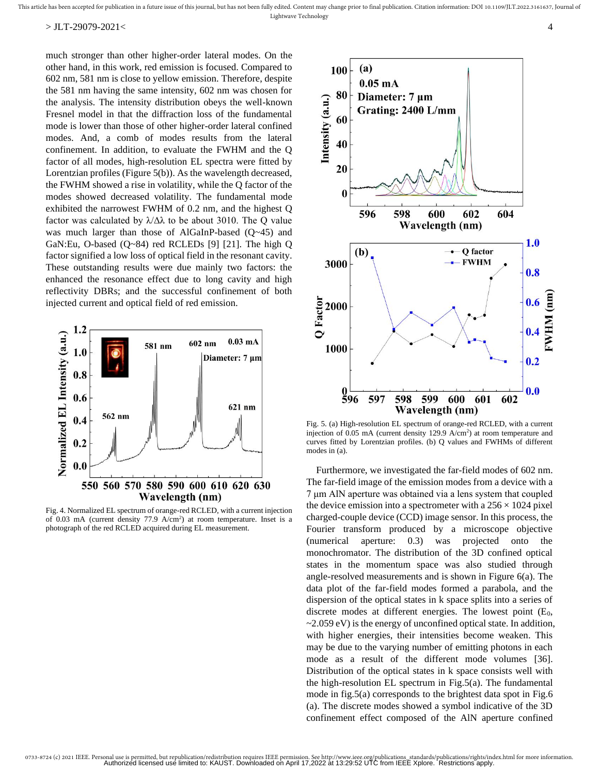much stronger than other higher-order lateral modes. On the other hand, in this work, red emission is focused. Compared to 602 nm, 581 nm is close to yellow emission. Therefore, despite the 581 nm having the same intensity, 602 nm was chosen for the analysis. The intensity distribution obeys the well-known Fresnel model in that the diffraction loss of the fundamental mode is lower than those of other higher-order lateral confined modes. And, a comb of modes results from the lateral confinement. In addition, to evaluate the FWHM and the Q factor of all modes, high-resolution EL spectra were fitted by Lorentzian profiles (Figure 5(b)). As the wavelength decreased, the FWHM showed a rise in volatility, while the Q factor of the modes showed decreased volatility. The fundamental mode exhibited the narrowest FWHM of 0.2 nm, and the highest Q factor was calculated by  $\lambda/\Delta\lambda$  to be about 3010. The Q value was much larger than those of AlGaInP-based (Q~45) and GaN:Eu, O-based  $(Q~84)$  red RCLEDs [9] [21]. The high Q factor signified a low loss of optical field in the resonant cavity. These outstanding results were due mainly two factors: the enhanced the resonance effect due to long cavity and high reflectivity DBRs; and the successful confinement of both injected current and optical field of red emission.



Fig. 4. Normalized EL spectrum of orange-red RCLED, with a current injection of  $0.03$  mA (current density  $77.9$  A/cm<sup>2</sup>) at room temperature. Inset is a photograph of the red RCLED acquired during EL measurement.



Fig. 5. (a) High-resolution EL spectrum of orange-red RCLED, with a current injection of  $0.05$  mA (current density 129.9 A/cm<sup>2</sup>) at room temperature and curves fitted by Lorentzian profiles. (b) Q values and FWHMs of different modes in (a).

Furthermore, we investigated the far-field modes of 602 nm. The far-field image of the emission modes from a device with a 7 μm AlN aperture was obtained via a lens system that coupled the device emission into a spectrometer with a  $256 \times 1024$  pixel charged-couple device (CCD) image sensor. In this process, the Fourier transform produced by a microscope objective (numerical aperture: 0.3) was projected onto the monochromator. The distribution of the 3D confined optical states in the momentum space was also studied through angle-resolved measurements and is shown in Figure 6(a). The data plot of the far-field modes formed a parabola, and the dispersion of the optical states in k space splits into a series of discrete modes at different energies. The lowest point  $(E_0,$  $\sim$  2.059 eV) is the energy of unconfined optical state. In addition, with higher energies, their intensities become weaken. This may be due to the varying number of emitting photons in each mode as a result of the different mode volumes [36]. Distribution of the optical states in k space consists well with the high-resolution EL spectrum in Fig.5(a). The fundamental mode in fig.5(a) corresponds to the brightest data spot in Fig.6 (a). The discrete modes showed a symbol indicative of the 3D confinement effect composed of the AlN aperture confined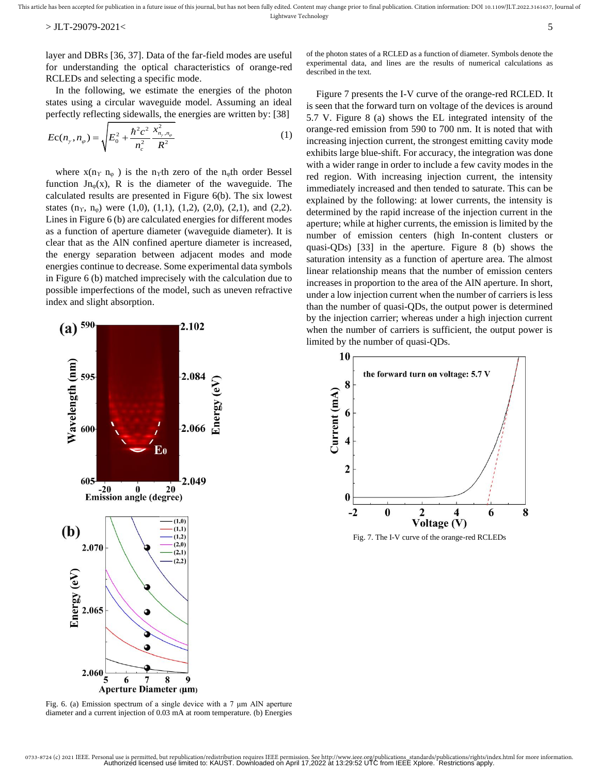layer and DBRs [36, 37]. Data of the far-field modes are useful for understanding the optical characteristics of orange-red RCLEDs and selecting a specific mode.

In the following, we estimate the energies of the photon states using a circular waveguide model. Assuming an ideal perfectly reflecting sidewalls, the energies are written by: [38]

$$
Ec(n_{\gamma}, n_{\varphi}) = \sqrt{E_0^2 + \frac{\hbar^2 c^2}{n_c^2} \frac{x_{n_{\gamma}, n_{\varphi}}^2}{R^2}}
$$
 (1)

where  $x(n_1 n_{\varphi})$  is the n<sub>γ</sub>th zero of the n<sub>φ</sub>th order Bessel function  $Jn_{\varphi}(x)$ , R is the diameter of the waveguide. The calculated results are presented in Figure 6(b). The six lowest states  $(n<sub>Y</sub>, n<sub>φ</sub>)$  were  $(1,0), (1,1), (1,2), (2,0), (2,1),$  and  $(2,2)$ . Lines in Figure 6 (b) are calculated energies for different modes as a function of aperture diameter (waveguide diameter). It is clear that as the AlN confined aperture diameter is increased, the energy separation between adjacent modes and mode energies continue to decrease. Some experimental data symbols in Figure 6 (b) matched imprecisely with the calculation due to possible imperfections of the model, such as uneven refractive index and slight absorption.



Fig. 6. (a) Emission spectrum of a single device with a 7 μm AlN aperture diameter and a current injection of 0.03 mA at room temperature. (b) Energies

of the photon states of a RCLED as a function of diameter. Symbols denote the experimental data, and lines are the results of numerical calculations as described in the text.

Figure 7 presents the I-V curve of the orange-red RCLED. It is seen that the forward turn on voltage of the devices is around 5.7 V. Figure 8 (a) shows the EL integrated intensity of the orange-red emission from 590 to 700 nm. It is noted that with increasing injection current, the strongest emitting cavity mode exhibits large blue-shift. For accuracy, the integration was done with a wider range in order to include a few cavity modes in the red region. With increasing injection current, the intensity immediately increased and then tended to saturate. This can be explained by the following: at lower currents, the intensity is determined by the rapid increase of the injection current in the aperture; while at higher currents, the emission is limited by the number of emission centers (high In-content clusters or quasi-QDs) [33] in the aperture. Figure 8 (b) shows the saturation intensity as a function of aperture area. The almost linear relationship means that the number of emission centers increases in proportion to the area of the AlN aperture. In short, under a low injection current when the number of carriers is less than the number of quasi-QDs, the output power is determined by the injection carrier; whereas under a high injection current when the number of carriers is sufficient, the output power is limited by the number of quasi-QDs.



Fig. 7. The I-V curve of the orange-red RCLEDs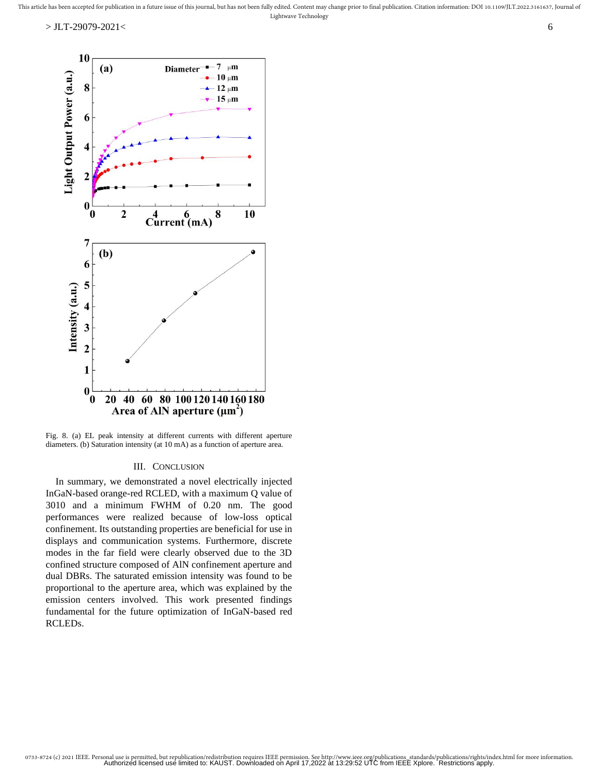

Fig. 8. (a) EL peak intensity at different currents with different aperture diameters. (b) Saturation intensity (at 10 mA) as a function of aperture area.

### III. CONCLUSION

In summary, we demonstrated a novel electrically injected InGaN-based orange-red RCLED, with a maximum Q value of 3010 and a minimum FWHM of 0.20 nm. The good performances were realized because of low-loss optical confinement. Its outstanding properties are beneficial for use in displays and communication systems. Furthermore, discrete modes in the far field were clearly observed due to the 3D confined structure composed of AlN confinement aperture and dual DBRs. The saturated emission intensity was found to be proportional to the aperture area, which was explained by the emission centers involved. This work presented findings fundamental for the future optimization of InGaN-based red RCLEDs.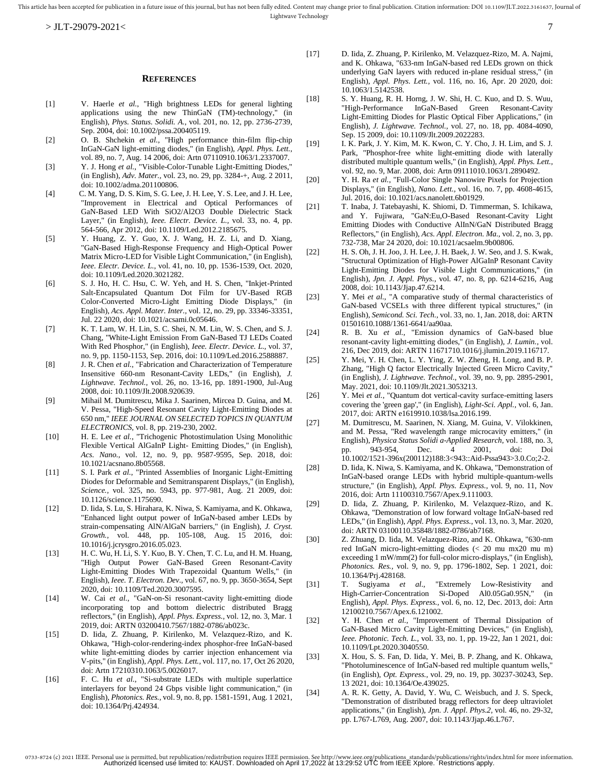#### **REFERENCES**

- [1] V. Haerle *et al.*, "High brightness LEDs for general lighting applications using the new ThinGaN (TM)-technology," (in English), *Phys. Status. Solidi. A.,* vol. 201, no. 12, pp. 2736-2739, Sep. 2004, doi: 10.1002/pssa.200405119.
- [2] O. B. Shchekin *et al.*, "High performance thin-film flip-chip InGaN-GaN light-emitting diodes," (in English), *Appl. Phys. Lett.,*  vol. 89, no. 7, Aug. 14 2006, doi: Artn 07110910.1063/1.2337007.
- [3] Y. J. Hong *et al.*, "Visible-Color-Tunable Light-Emitting Diodes," (in English), *Adv. Mater.,* vol. 23, no. 29, pp. 3284-+, Aug. 2 2011, doi: 10.1002/adma.201100806.
- [4] C. M. Yang, D. S. Kim, S. G. Lee, J. H. Lee, Y. S. Lee, and J. H. Lee, "Improvement in Electrical and Optical Performances of GaN-Based LED With SiO2/Al2O3 Double Dielectric Stack Layer," (in English), *Ieee. Electr. Device. L.,* vol. 33, no. 4, pp. 564-566, Apr 2012, doi: 10.1109/Led.2012.2185675.
- [5] Y. Huang, Z. Y. Guo, X. J. Wang, H. Z. Li, and D. Xiang, "GaN-Based High-Response Frequency and High-Optical Power Matrix Micro-LED for Visible Light Communication," (in English), *Ieee. Electr. Device. L.,* vol. 41, no. 10, pp. 1536-1539, Oct. 2020, doi: 10.1109/Led.2020.3021282.
- [6] S. J. Ho, H. C. Hsu, C. W. Yeh, and H. S. Chen, "Inkjet-Printed Salt-Encapsulated Quantum Dot Film for UV-Based RGB Color-Converted Micro-Light Emitting Diode Displays," (in English), *Acs. Appl. Mater. Inter.,* vol. 12, no. 29, pp. 33346-33351, Jul. 22 2020, doi: 10.1021/acsami.0c05646.
- [7] K. T. Lam, W. H. Lin, S. C. Shei, N. M. Lin, W. S. Chen, and S. J. Chang, "White-Light Emission From GaN-Based TJ LEDs Coated With Red Phosphor," (in English), *Ieee. Electr. Device. L.,* vol. 37, no. 9, pp. 1150-1153, Sep. 2016, doi: 10.1109/Led.2016.2588887.
- [8] J. R. Chen *et al.*, "Fabrication and Characterization of Temperature Insensitive 660-nm Resonant-Cavity LEDs," (in English), *J. Lightwave. Technol.,* vol. 26, no. 13-16, pp. 1891-1900, Jul-Aug 2008, doi: 10.1109/Jlt.2008.920639.
- [9] Mihail M. Dumitrescu, Mika J. Saarinen, Mircea D. Guina, and M. V. Pessa, "High-Speed Resonant Cavity Light-Emitting Diodes at 650 nm," *IEEE JOURNAL ON SELECTED TOPICS IN QUANTUM ELECTRONICS,* vol. 8, pp. 219-230, 2002.
- [10] H. E. Lee *et al.*, "Trichogenic Photostimulation Using Monolithic Flexible Vertical AlGaInP Light- Emitting Diodes," (in English), *Acs. Nano.,* vol. 12, no. 9, pp. 9587-9595, Sep. 2018, doi: 10.1021/acsnano.8b05568.
- [11] S. I. Park *et al.*, "Printed Assemblies of Inorganic Light-Emitting Diodes for Deformable and Semitransparent Displays," (in English), *Science.,* vol. 325, no. 5943, pp. 977-981, Aug. 21 2009, doi: 10.1126/science.1175690.
- [12] D. Iida, S. Lu, S. Hirahara, K. Niwa, S. Kamiyama, and K. Ohkawa, "Enhanced light output power of InGaN-based amber LEDs by strain-compensating AlN/AlGaN barriers," (in English), *J. Cryst. Growth.,* vol. 448, pp. 105-108, Aug. 15 2016, doi: 10.1016/j.jcrysgro.2016.05.023.
- [13] H. C. Wu, H. Li, S. Y. Kuo, B. Y. Chen, T. C. Lu, and H. M. Huang, "High Output Power GaN-Based Green Resonant-Cavity Light-Emitting Diodes With Trapezoidal Quantum Wells," (in English), *Ieee. T. Electron. Dev.,* vol. 67, no. 9, pp. 3650-3654, Sept 2020, doi: 10.1109/Ted.2020.3007595.
- [14] W. Cai *et al.*, "GaN-on-Si resonant-cavity light-emitting diode incorporating top and bottom dielectric distributed Bragg reflectors," (in English), *Appl. Phys. Express.,* vol. 12, no. 3, Mar. 1 2019, doi: ARTN 03200410.7567/1882-0786/ab023c.
- [15] D. Iida, Z. Zhuang, P. Kirilenko, M. Velazquez-Rizo, and K. Ohkawa, "High-color-rendering-index phosphor-free InGaN-based white light-emitting diodes by carrier injection enhancement via V-pits," (in English), *Appl. Phys. Lett.,* vol. 117, no. 17, Oct 26 2020, doi: Artn 17210310.1063/5.0026017.
- [16] F. C. Hu *et al.*, "Si-substrate LEDs with multiple superlattice interlayers for beyond 24 Gbps visible light communication," (in English), *Photonics. Res.,* vol. 9, no. 8, pp. 1581-1591, Aug. 1 2021, doi: 10.1364/Prj.424934.
- [17] D. Iida, Z. Zhuang, P. Kirilenko, M. Velazquez-Rizo, M. A. Najmi, and K. Ohkawa, "633-nm InGaN-based red LEDs grown on thick underlying GaN layers with reduced in-plane residual stress," (in English), *Appl. Phys. Lett.,* vol. 116, no. 16, Apr. 20 2020, doi: 10.1063/1.5142538.
- [18] S. Y. Huang, R. H. Horng, J. W. Shi, H. C. Kuo, and D. S. Wuu, "High-Performance InGaN-Based Green Resonant-Cavity Light-Emitting Diodes for Plastic Optical Fiber Applications," (in English), *J. Lightwave. Technol.,* vol. 27, no. 18, pp. 4084-4090, Sep. 15 2009, doi: 10.1109/Jlt.2009.2022283.
- [19] I. K. Park, J. Y. Kim, M. K. Kwon, C. Y. Cho, J. H. Lim, and S. J. Park, "Phosphor-free white light-emitting diode with laterally distributed multiple quantum wells," (in English), *Appl. Phys. Lett.,*  vol. 92, no. 9, Mar. 2008, doi: Artn 09111010.1063/1.2890492.
- [20] Y. H. Ra *et al.*, "Full-Color Single Nanowire Pixels for Projection Displays," (in English), *Nano. Lett.,* vol. 16, no. 7, pp. 4608-4615, Jul. 2016, doi: 10.1021/acs.nanolett.6b01929.
- [21] T. Inaba, J. Tatebayashi, K. Shiomi, D. Timmerman, S. Ichikawa, and Y. Fujiwara, "GaN:Eu,O-Based Resonant-Cavity Light Emitting Diodes with Conductive AlInN/GaN Distributed Bragg Reflectors," (in English), *Acs. Appl. Electron. Ma.,* vol. 2, no. 3, pp. 732-738, Mar 24 2020, doi: 10.1021/acsaelm.9b00806.
- [22] H. S. Oh, J. H. Joo, J. H. Lee, J. H. Baek, J. W. Seo, and J. S. Kwak, "Structural Optimization of High-Power AlGaInP Resonant Cavity Light-Emitting Diodes for Visible Light Communications," (in English), *Jpn. J. Appl. Phys.,* vol. 47, no. 8, pp. 6214-6216, Aug 2008, doi: 10.1143/Jjap.47.6214.
- [23] Y. Mei *et al.*, "A comparative study of thermal characteristics of GaN-based VCSELs with three different typical structures," (in English), *Semicond. Sci. Tech.,* vol. 33, no. 1, Jan. 2018, doi: ARTN 01501610.1088/1361-6641/aa90aa.
- [24] R. B. Xu *et al.*, "Emission dynamics of GaN-based blue resonant-cavity light-emitting diodes," (in English), *J. Lumin.,* vol. 216, Dec 2019, doi: ARTN 11671710.1016/j.jlumin.2019.116717.
- [25] Y. Mei, Y. H. Chen, L. Y. Ying, Z. W. Zheng, H. Long, and B. P. Zhang, "High Q factor Electrically Injected Green Micro Cavity," (in English), *J. Lightwave. Technol.,* vol. 39, no. 9, pp. 2895-2901, May. 2021, doi: 10.1109/Jlt.2021.3053213.
- [26] Y. Mei *et al.*, "Quantum dot vertical-cavity surface-emitting lasers covering the 'green gap'," (in English), *Light-Sci. Appl.,* vol. 6, Jan. 2017, doi: ARTN e1619910.1038/lsa.2016.199.
- [27] M. Dumitrescu, M. Saarinen, N. Xiang, M. Guina, V. Vilokkinen, and M. Pessa, "Red wavelength range microcavity emitters," (in English), *Physica Status Solidi a-Applied Research,* vol. 188, no. 3, pp. 943-954, Dec. 4 2001, doi: Doi 10.1002/1521-396x(200112)188:3<943::Aid-Pssa943>3.0.Co;2-2.
- [28] D. Iida, K. Niwa, S. Kamiyama, and K. Ohkawa, "Demonstration of InGaN-based orange LEDs with hybrid multiple-quantum-wells structure," (in English), *Appl. Phys. Express.,* vol. 9, no. 11, Nov 2016, doi: Artn 11100310.7567/Apex.9.111003.
- [29] D. Iida, Z. Zhuang, P. Kirilenko, M. Velazquez-Rizo, and K. Ohkawa, "Demonstration of low forward voltage InGaN-based red LEDs," (in English), *Appl. Phys. Express.,* vol. 13, no. 3, Mar. 2020, doi: ARTN 03100110.35848/1882-0786/ab7168.
- [30] Z. Zhuang, D. Iida, M. Velazquez-Rizo, and K. Ohkawa, "630-nm red InGaN micro-light-emitting diodes (< 20 mu mx20 mu m) exceeding 1 mW/mm(2) for full-color micro-displays," (in English), *Photonics. Res.,* vol. 9, no. 9, pp. 1796-1802, Sep. 1 2021, doi: 10.1364/Prj.428168.
- [31] T. Sugiyama *et al.*, "Extremely Low-Resistivity and High-Carrier-Concentration Si-Doped Al0.05Ga0.95N," (in English), *Appl. Phys. Express.,* vol. 6, no. 12, Dec. 2013, doi: Artn 12100210.7567/Apex.6.121002.
- [32] Y. H. Chen *et al.*, "Improvement of Thermal Dissipation of GaN-Based Micro Cavity Light-Emitting Devices," (in English), *Ieee. Photonic. Tech. L.,* vol. 33, no. 1, pp. 19-22, Jan 1 2021, doi: 10.1109/Lpt.2020.3040550.
- [33] X. Hou, S. S. Fan, D. Iida, Y. Mei, B. P. Zhang, and K. Ohkawa, "Photoluminescence of InGaN-based red multiple quantum wells," (in English), *Opt. Express.,* vol. 29, no. 19, pp. 30237-30243, Sep. 13 2021, doi: 10.1364/Oe.439025.
- [34] A. R. K. Getty, A. David, Y. Wu, C. Weisbuch, and J. S. Speck, "Demonstration of distributed bragg reflectors for deep ultraviolet applications," (in English), *Jpn. J. Appl. Phys.2,* vol. 46, no. 29-32, pp. L767-L769, Aug. 2007, doi: 10.1143/Jjap.46.L767.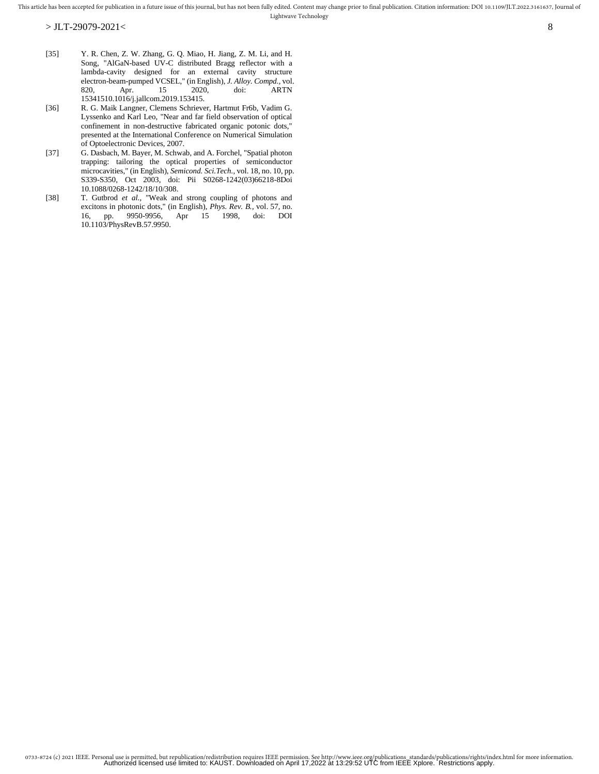- [35] Y. R. Chen, Z. W. Zhang, G. Q. Miao, H. Jiang, Z. M. Li, and H. Song, "AlGaN-based UV-C distributed Bragg reflector with a lambda-cavity designed for an external cavity structure electron-beam-pumped VCSEL," (in English), *J. Alloy. Compd.,* vol.  $ARTN$ 15341510.1016/j.jallcom.2019.153415.
- [36] R. G. Maik Langner, Clemens Schriever, Hartmut Fr6b, Vadim G. Lyssenko and Karl Leo, "Near and far field observation of optical confinement in non-destructive fabricated organic potonic dots," presented at the International Conference on Numerical Simulation of Optoelectronic Devices, 2007.
- [37] G. Dasbach, M. Bayer, M. Schwab, and A. Forchel, "Spatial photon trapping: tailoring the optical properties of semiconductor microcavities," (in English), *Semicond. Sci.Tech.,* vol. 18, no. 10, pp. S339-S350, Oct 2003, doi: Pii S0268-1242(03)66218-8Doi 10.1088/0268-1242/18/10/308.
- [38] T. Gutbrod *et al.*, "Weak and strong coupling of photons and excitons in photonic dots," (in English), *Phys. Rev. B.,* vol. 57, no. 16, pp. 9950-9956, Apr 15 1998, doi: DOI 10.1103/PhysRevB.57.9950.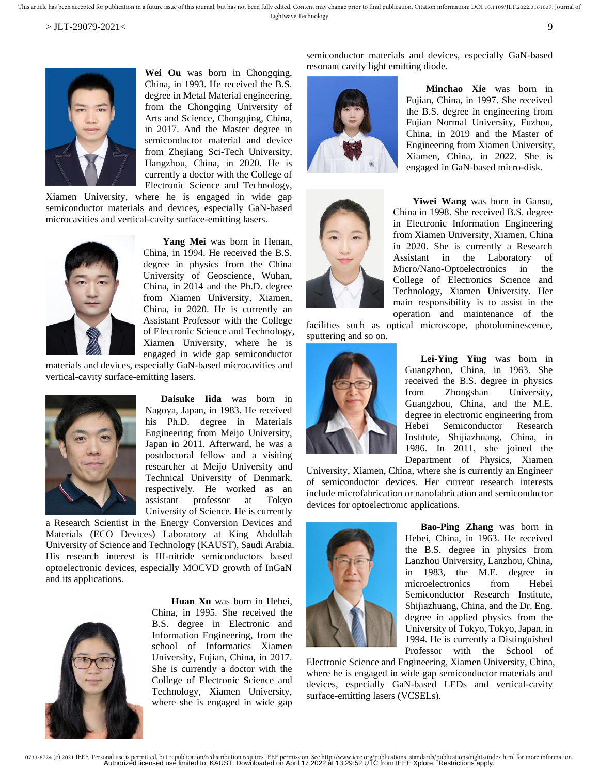

Wei Ou was born in Chongqing, China, in 1993. He received the B.S. degree in Metal Material engineering, from the Chongqing University of Arts and Science, Chongqing, China, in 2017. And the Master degree in semiconductor material and device from Zhejiang Sci-Tech University, Hangzhou, China, in 2020. He is currently a doctor with the College of Electronic Science and Technology,

Xiamen University, where he is engaged in wide gap semiconductor materials and devices, especially GaN-based microcavities and vertical-cavity surface-emitting lasers.



**Yang Mei** was born in Henan, China, in 1994. He received the B.S. degree in physics from the China University of Geoscience, Wuhan, China, in 2014 and the Ph.D. degree from Xiamen University, Xiamen, China, in 2020. He is currently an Assistant Professor with the College of Electronic Science and Technology, Xiamen University, where he is engaged in wide gap semiconductor

materials and devices, especially GaN-based microcavities and vertical-cavity surface-emitting lasers.



**Daisuke Iida** was born in Nagoya, Japan, in 1983. He received his Ph.D. degree in Materials Engineering from Meijo University, Japan in 2011. Afterward, he was a postdoctoral fellow and a visiting researcher at Meijo University and Technical University of Denmark, respectively. He worked as an assistant professor at Tokyo University of Science. He is currently

a Research Scientist in the Energy Conversion Devices and Materials (ECO Devices) Laboratory at King Abdullah University of Science and Technology (KAUST), Saudi Arabia. His research interest is III-nitride semiconductors based optoelectronic devices, especially MOCVD growth of InGaN and its applications.



**Huan Xu** was born in Hebei, China, in 1995. She received the B.S. degree in Electronic and Information Engineering, from the school of Informatics Xiamen University, Fujian, China, in 2017. She is currently a doctor with the College of Electronic Science and Technology, Xiamen University, where she is engaged in wide gap semiconductor materials and devices, especially GaN-based resonant cavity light emitting diode.



**Minchao Xie** was born in Fujian, China, in 1997. She received the B.S. degree in engineering from Fujian Normal University, Fuzhou, China, in 2019 and the Master of Engineering from Xiamen University, Xiamen, China, in 2022. She is engaged in GaN-based micro-disk.



**Yiwei Wang** was born in Gansu, China in 1998. She received B.S. degree in Electronic Information Engineering from Xiamen University, Xiamen, China in 2020. She is currently a Research Assistant in the Laboratory of Micro/Nano-Optoelectronics in the College of Electronics Science and Technology, Xiamen University. Her main responsibility is to assist in the operation and maintenance of the facilities such as optical microscope, photoluminescence,

sputtering and so on.



**Lei-Ying Ying** was born in Guangzhou, China, in 1963. She received the B.S. degree in physics from Zhongshan University, Guangzhou, China, and the M.E. degree in electronic engineering from Hebei Semiconductor Research Institute, Shijiazhuang, China, in 1986. In 2011, she joined the Department of Physics, Xiamen

University, Xiamen, China, where she is currently an Engineer of semiconductor devices. Her current research interests include microfabrication or nanofabrication and semiconductor devices for optoelectronic applications.



**Bao-Ping Zhang** was born in Hebei, China, in 1963. He received the B.S. degree in physics from Lanzhou University, Lanzhou, China, in 1983, the M.E. degree in microelectronics from Hebei Semiconductor Research Institute, Shijiazhuang, China, and the Dr. Eng. degree in applied physics from the University of Tokyo, Tokyo, Japan, in 1994. He is currently a Distinguished Professor with the School of

Electronic Science and Engineering, Xiamen University, China, where he is engaged in wide gap semiconductor materials and devices, especially GaN-based LEDs and vertical-cavity surface-emitting lasers (VCSELs).